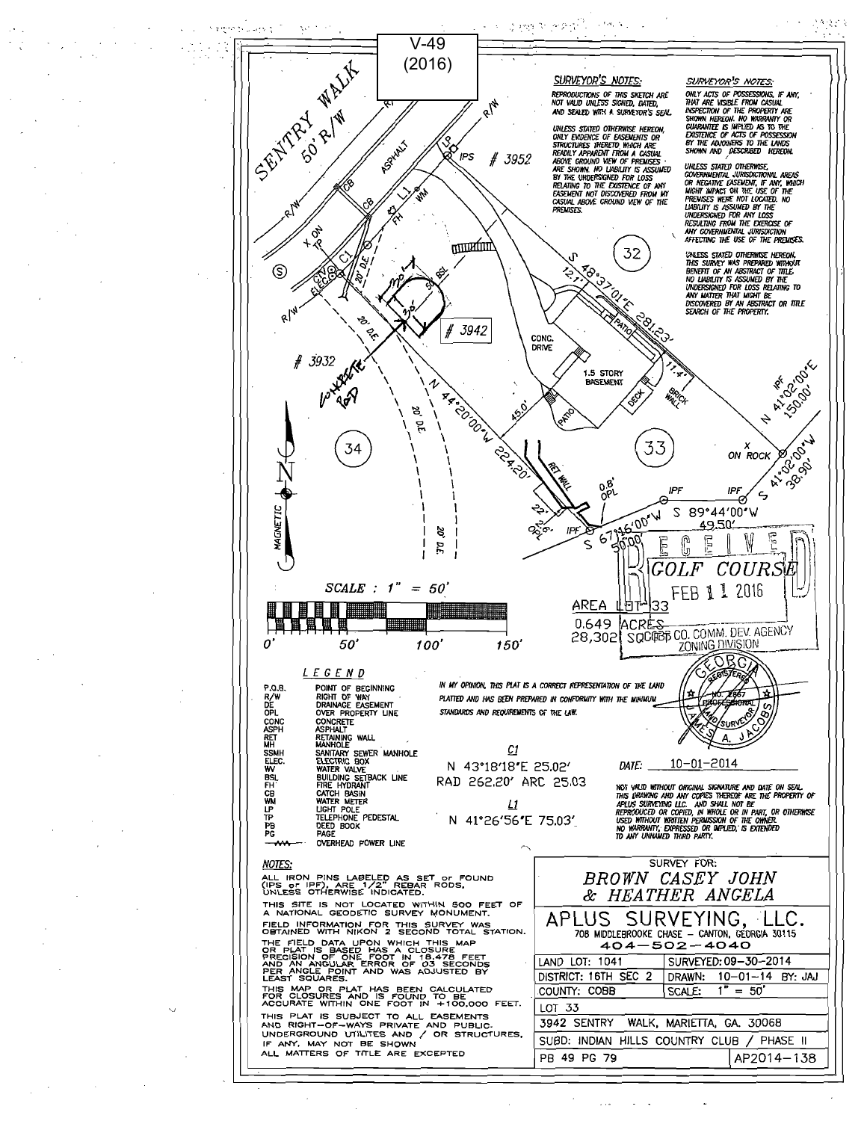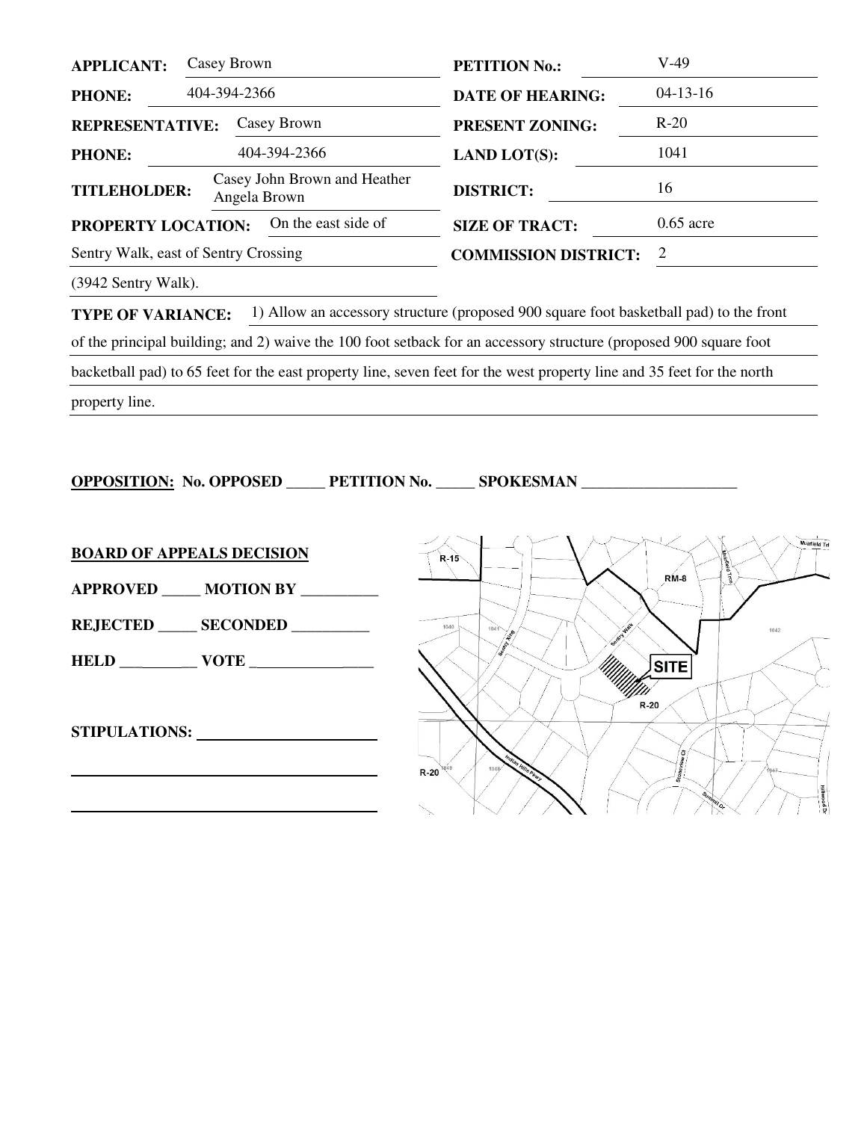| <b>APPLICANT:</b>                         |                                                                     | Casey Brown            | <b>PETITION No.:</b>        | $V-49$      |
|-------------------------------------------|---------------------------------------------------------------------|------------------------|-----------------------------|-------------|
| <b>PHONE:</b>                             | 404-394-2366                                                        |                        | <b>DATE OF HEARING:</b>     | $04-13-16$  |
| Casey Brown<br><b>REPRESENTATIVE:</b>     |                                                                     | <b>PRESENT ZONING:</b> | $R-20$                      |             |
| <b>PHONE:</b>                             |                                                                     | 404-394-2366           | <b>LAND LOT(S):</b>         | 1041        |
|                                           | Casey John Brown and Heather<br><b>TITLEHOLDER:</b><br>Angela Brown |                        | <b>DISTRICT:</b>            | 16          |
| On the east side of<br>PROPERTY LOCATION: |                                                                     |                        | <b>SIZE OF TRACT:</b>       | $0.65$ acre |
| Sentry Walk, east of Sentry Crossing      |                                                                     |                        | <b>COMMISSION DISTRICT:</b> | 2           |
|                                           |                                                                     |                        |                             |             |

(3942 Sentry Walk).

**TYPE OF VARIANCE:** 1) Allow an accessory structure (proposed 900 square foot basketball pad) to the front

of the principal building; and 2) waive the 100 foot setback for an accessory structure (proposed 900 square foot

backetball pad) to 65 feet for the east property line, seven feet for the west property line and 35 feet for the north

property line.

**OPPOSITION: No. OPPOSED \_\_\_\_\_ PETITION No. \_\_\_\_\_ SPOKESMAN \_\_\_\_\_\_\_\_\_\_\_\_\_\_\_\_\_\_\_\_** 

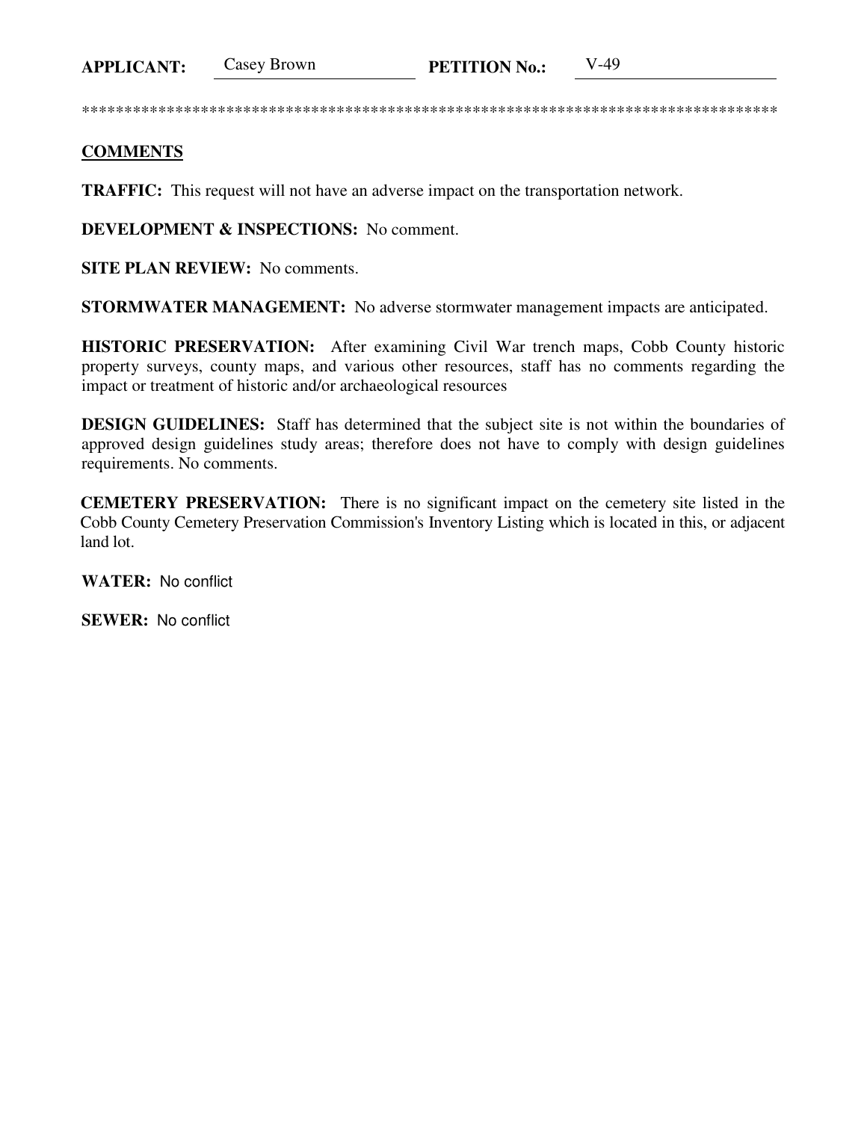**APPLICANT:** 

**Casey Brown** 

## **COMMENTS**

**TRAFFIC:** This request will not have an adverse impact on the transportation network.

**DEVELOPMENT & INSPECTIONS:** No comment.

**SITE PLAN REVIEW:** No comments.

**STORMWATER MANAGEMENT:** No adverse stormwater management impacts are anticipated.

HISTORIC PRESERVATION: After examining Civil War trench maps, Cobb County historic property surveys, county maps, and various other resources, staff has no comments regarding the impact or treatment of historic and/or archaeological resources

**DESIGN GUIDELINES:** Staff has determined that the subject site is not within the boundaries of approved design guidelines study areas; therefore does not have to comply with design guidelines requirements. No comments.

**CEMETERY PRESERVATION:** There is no significant impact on the cemetery site listed in the Cobb County Cemetery Preservation Commission's Inventory Listing which is located in this, or adjacent land lot.

**WATER: No conflict** 

**SEWER: No conflict**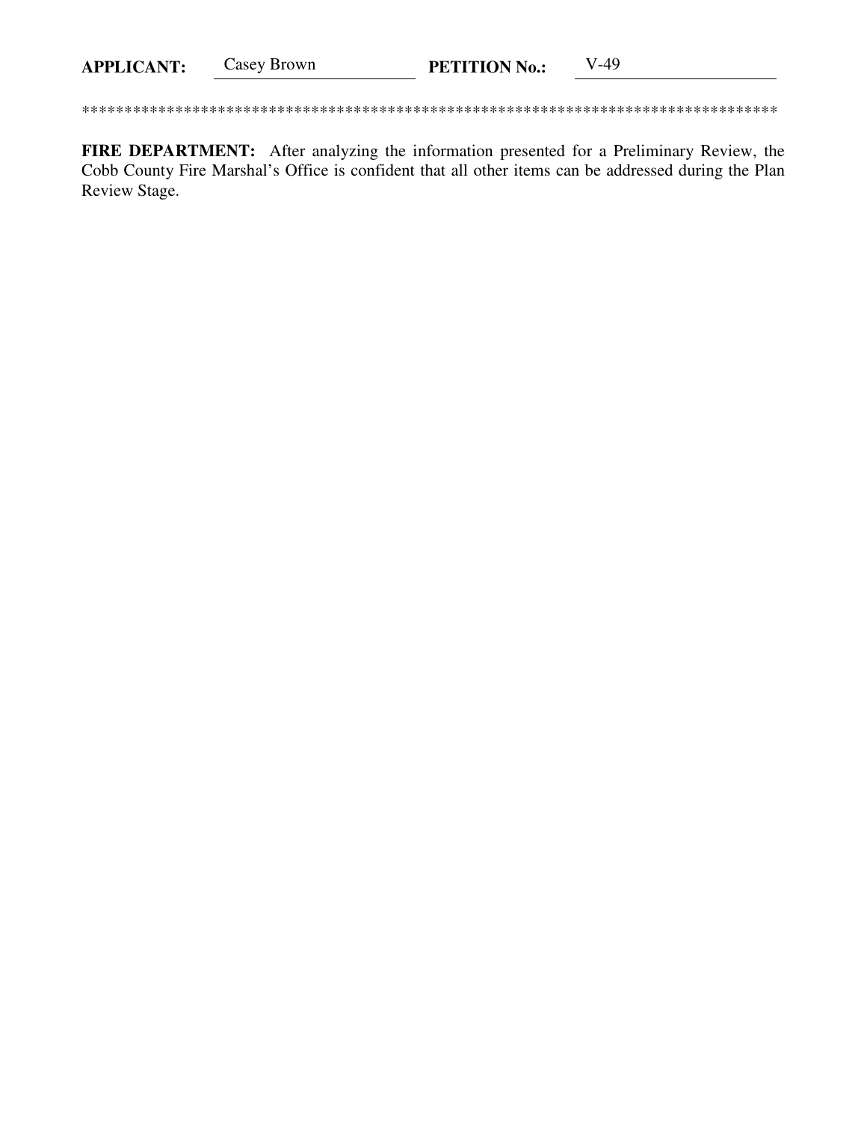Casey Brown  $V-49$ **APPLICANT: PETITION No.:** 

FIRE DEPARTMENT: After analyzing the information presented for a Preliminary Review, the Cobb County Fire Marshal's Office is confident that all other items can be addressed during the Plan Review Stage.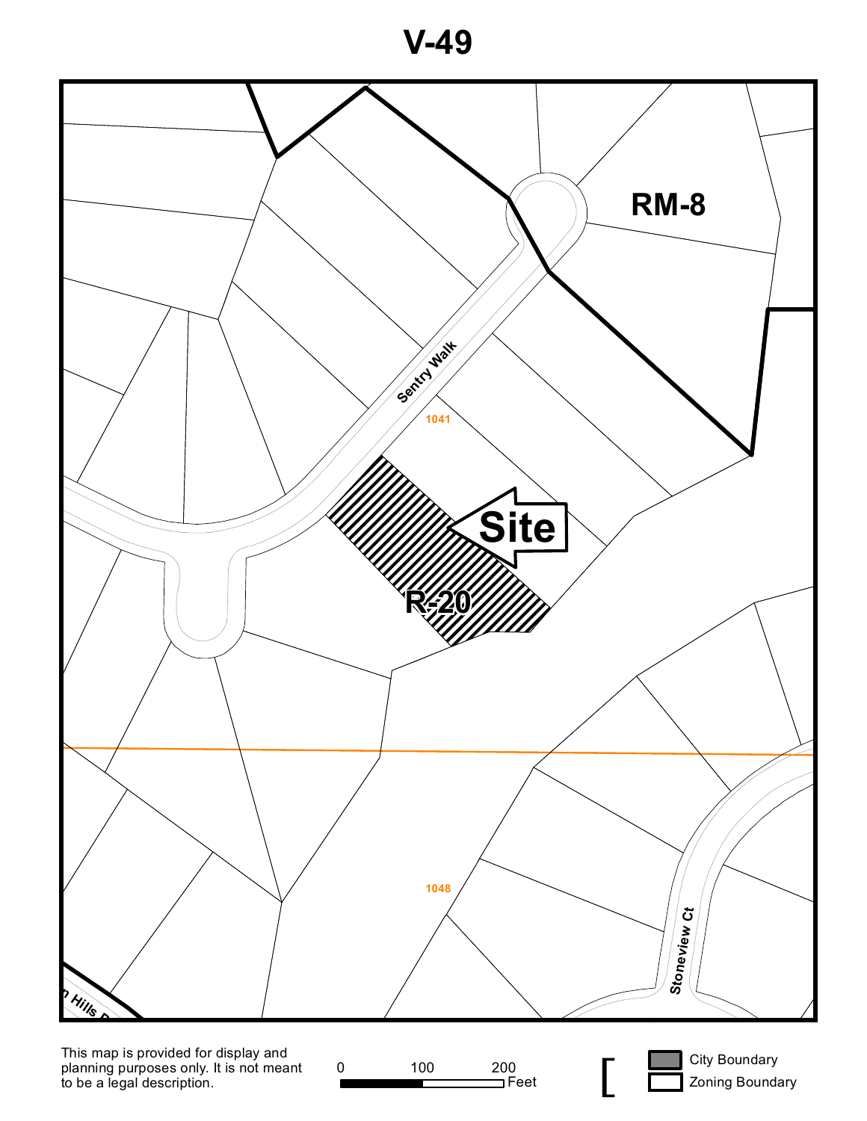**V-49**



planning purposes only. It is not meant to be a legal description.

0 100 200<br>
Feet

0<br>Feet **[** 

Zoning Boundary